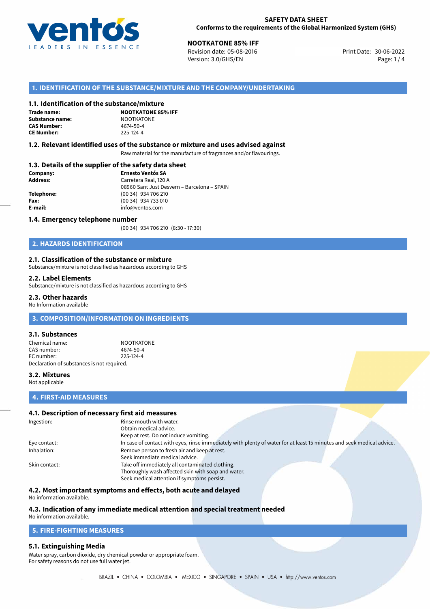

**300TKATONE 85% IFF**<br>30-06-2022 Revision date: 05-08-2016 Print Date: 30-06-2022 Version: 3.0/GHS/EN Page: 1 / 4

### **1. IDENTIFICATION OF THE SUBSTANCE/MIXTURE AND THE COMPANY/UNDERTAKING**

### **1.1. Identification of the substance/mixture**

**Trade name: Substance name:** NOOTKATONE<br> **CAS Number:** 4674-50-4 **CAS Number: CE Number:** 225-124-4

**NOOTKATONE 85% IFF**

### **1.2. Relevant identified uses of the substance or mixture and uses advised against**

Raw material for the manufacture of fragrances and/or flavourings.

### **1.3. Details of the supplier of the safety data sheet**

| Company:        | <b>Ernesto Ventós SA</b>                    |  |
|-----------------|---------------------------------------------|--|
| <b>Address:</b> | Carretera Real, 120 A                       |  |
|                 | 08960 Sant Just Desvern - Barcelona - SPAIN |  |
| Telephone:      | (00 34) 934 706 210                         |  |
| Fax:            | (00 34) 934 733 010                         |  |
| E-mail:         | info@ventos.com                             |  |
|                 |                                             |  |

### **1.4. Emergency telephone number**

(00 34) 934 706 210 (8:30 - 17:30)

### **2. HAZARDS IDENTIFICATION**

### **2.1. Classification of the substance or mixture**

Substance/mixture is not classified as hazardous according to GHS

### **2.2. Label Elements**

Substance/mixture is not classified as hazardous according to GHS

### **2.3. Other hazards**

No Information available

### **3. COMPOSITION/INFORMATION ON INGREDIENTS**

### **3.1. Substances**

Chemical name: NOOTKATONE CAS number: 4674-50-4 EC number: 225-124-4 Declaration of substances is not required.

### **3.2. Mixtures**

Not applicable

### **4. FIRST-AID MEASURES**

### **4.1. Description of necessary first aid measures**

| Ingestion:    | Rinse mouth with water.                                                                                               |  |  |
|---------------|-----------------------------------------------------------------------------------------------------------------------|--|--|
|               | Obtain medical advice.                                                                                                |  |  |
|               | Keep at rest. Do not induce vomiting.                                                                                 |  |  |
| Eye contact:  | In case of contact with eyes, rinse immediately with plenty of water for at least 15 minutes and seek medical advice. |  |  |
| Inhalation:   | Remove person to fresh air and keep at rest.                                                                          |  |  |
|               | Seek immediate medical advice.                                                                                        |  |  |
| Skin contact: | Take off immediately all contaminated clothing.                                                                       |  |  |
|               | Thoroughly wash affected skin with soap and water.                                                                    |  |  |
|               | Seek medical attention if symptoms persist.                                                                           |  |  |

### **4.2. Most important symptoms and effects, both acute and delayed**

No information available.

# **4.3. Indication of any immediate medical attention and special treatment needed**

# No information available.

# **5. FIRE-FIGHTING MEASURES**

### **5.1. Extinguishing Media**

Water spray, carbon dioxide, dry chemical powder or appropriate foam. For safety reasons do not use full water jet.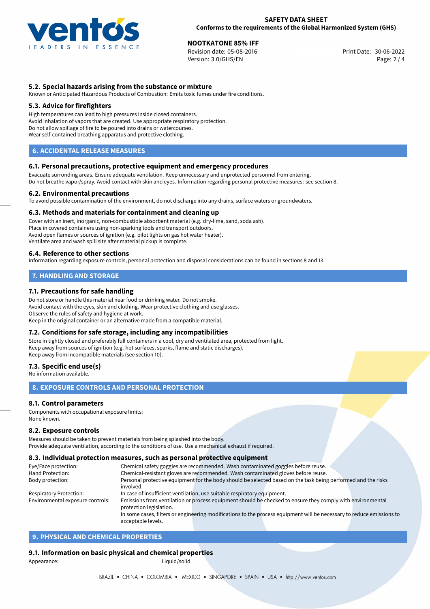

# **NOOTKATONE 85% IFF**<br>
Revision date: 05-08-2016<br> **Solution date: 05-08-2016**

Revision date: 05-08-2016 Version: 3.0/GHS/EN Page: 2 / 4

### **5.2. Special hazards arising from the substance or mixture**

Known or Anticipated Hazardous Products of Combustion: Emits toxic fumes under fire conditions.

### **5.3. Advice for firefighters**

High temperatures can lead to high pressures inside closed containers. Avoid inhalation of vapors that are created. Use appropriate respiratory protection. Do not allow spillage of fire to be poured into drains or watercourses. Wear self-contained breathing apparatus and protective clothing.

### **6. ACCIDENTAL RELEASE MEASURES**

### **6.1. Personal precautions, protective equipment and emergency procedures**

Evacuate surronding areas. Ensure adequate ventilation. Keep unnecessary and unprotected personnel from entering. Do not breathe vapor/spray. Avoid contact with skin and eyes. Information regarding personal protective measures: see section 8.

### **6.2. Environmental precautions**

To avoid possible contamination of the environment, do not discharge into any drains, surface waters or groundwaters.

### **6.3. Methods and materials for containment and cleaning up**

Cover with an inert, inorganic, non-combustible absorbent material (e.g. dry-lime, sand, soda ash). Place in covered containers using non-sparking tools and transport outdoors. Avoid open flames or sources of ignition (e.g. pilot lights on gas hot water heater). Ventilate area and wash spill site after material pickup is complete.

### **6.4. Reference to other sections**

Information regarding exposure controls, personal protection and disposal considerations can be found in sections 8 and 13.

### **7. HANDLING AND STORAGE**

### **7.1. Precautions for safe handling**

Do not store or handle this material near food or drinking water. Do not smoke. Avoid contact with the eyes, skin and clothing. Wear protective clothing and use glasses. Observe the rules of safety and hygiene at work. Keep in the original container or an alternative made from a compatible material.

### **7.2. Conditions for safe storage, including any incompatibilities**

Store in tightly closed and preferably full containers in a cool, dry and ventilated area, protected from light. Keep away from sources of ignition (e.g. hot surfaces, sparks, flame and static discharges). Keep away from incompatible materials (see section 10).

### **7.3. Specific end use(s)**

No information available.

### **8. EXPOSURE CONTROLS AND PERSONAL PROTECTION**

### **8.1. Control parameters**

Components with occupational exposure limits: None known.

### **8.2. Exposure controls**

Measures should be taken to prevent materials from being splashed into the body. Provide adequate ventilation, according to the conditions of use. Use a mechanical exhaust if required.

### **8.3. Individual protection measures, such as personal protective equipment**

acceptable levels.

| Eye/Face protection:             | Chemical safety goggles are recommended. Wash contaminated goggles before reuse.                                      |  |  |  |  |
|----------------------------------|-----------------------------------------------------------------------------------------------------------------------|--|--|--|--|
| Hand Protection:                 | Chemical-resistant gloves are recommended. Wash contaminated gloves before reuse.                                     |  |  |  |  |
| Body protection:                 | Personal protective equipment for the body should be selected based on the task being performed and the risks         |  |  |  |  |
|                                  | involved.                                                                                                             |  |  |  |  |
| <b>Respiratory Protection:</b>   | In case of insufficient ventilation, use suitable respiratory equipment.                                              |  |  |  |  |
| Environmental exposure controls: | Emissions from ventilation or process equipment should be checked to ensure they comply with environmental            |  |  |  |  |
|                                  | protection legislation.                                                                                               |  |  |  |  |
|                                  | In some cases, filters or engineering modifications to the process equipment will be necessary to reduce emissions to |  |  |  |  |
|                                  |                                                                                                                       |  |  |  |  |

### **9. PHYSICAL AND CHEMICAL PROPERTIES**

### **9.1. Information on basic physical and chemical properties**

Appearance: and the contract of the contract of the Liquid/solid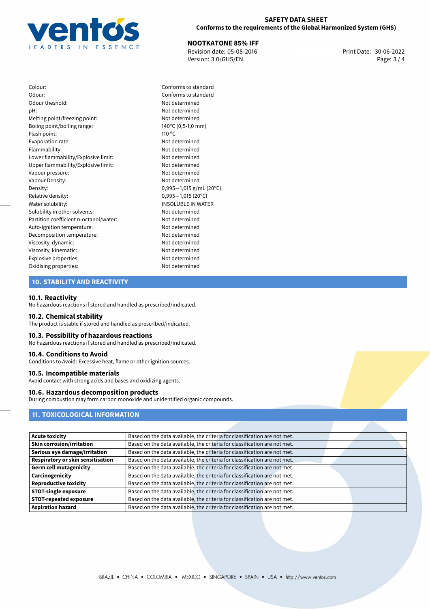

### **SAFETY DATA SHEET Conforms to the requirements of the Global Harmonized System (GHS)**

**NOOTKATONE 85% IFF**<br>
Revision date: 05-08-2016 **Print Date: 30-06-2022** Version: 3.0/GHS/EN Page: 3 / 4

Colour: Conforms to standard Odour: Conforms to standard Odour theshold: Not determined pH: Not determined Melting point/freezing point: Not determined Boling point/boiling range: 140<sup>o</sup>C (0,5-1,0 mm) Flash point: 110 °C Evaporation rate: Not determined Flammability: Not determined Lower flammability/Explosive limit: Not determined Upper flammability/Explosive limit: Not determined Vapour pressure: Not determined Vapour Density: Vapour Density: Density: 0,995−1,015 g/mL (20<sup>o</sup>C)<br>Relative density: 0,995−1,015 (20<sup>o</sup>C) Relative density: 0,995−1,015 (20<sup>o</sup>C)<br>Water solubility: 0,995−1,015 (20<sup>o</sup>C) Solubility in other solvents: Not determined Partition coefficient n-octanol/water: Not determined Auto-ignition temperature: Not determined Decomposition temperature: Not determined Viscosity, dynamic: Not determined Viscosity, kinematic: Not determined Explosive properties: Not determined Oxidising properties: Not determined

# **INSOLUBLE IN WATER**

### **10. STABILITY AND REACTIVITY**

### **10.1. Reactivity**

No hazardous reactions if stored and handled as prescribed/indicated.

### **10.2. Chemical stability**

The product is stable if stored and handled as prescribed/indicated.

### **10.3. Possibility of hazardous reactions**

No hazardous reactions if stored and handled as prescribed/indicated.

### **10.4. Conditions to Avoid**

Conditions to Avoid: Excessive heat, flame or other ignition sources.

### **10.5. Incompatible materials**

Avoid contact with strong acids and bases and oxidizing agents.

### **10.6. Hazardous decomposition products**

During combustion may form carbon monoxide and unidentified organic compounds.

### **11. TOXICOLOGICAL INFORMATION**

| <b>Acute toxicity</b>             | Based on the data available, the criteria for classification are not met. |
|-----------------------------------|---------------------------------------------------------------------------|
| <b>Skin corrosion/irritation</b>  | Based on the data available, the criteria for classification are not met. |
| Serious eye damage/irritation     | Based on the data available, the criteria for classification are not met. |
| Respiratory or skin sensitisation | Based on the data available, the criteria for classification are not met. |
| <b>Germ cell mutagenicity</b>     | Based on the data available, the criteria for classification are not met. |
| Carcinogenicity                   | Based on the data available, the criteria for classification are not met. |
| <b>Reproductive toxicity</b>      | Based on the data available, the criteria for classification are not met. |
| <b>STOT-single exposure</b>       | Based on the data available, the criteria for classification are not met. |
| <b>STOT-repeated exposure</b>     | Based on the data available, the criteria for classification are not met. |
| <b>Aspiration hazard</b>          | Based on the data available, the criteria for classification are not met. |
|                                   |                                                                           |